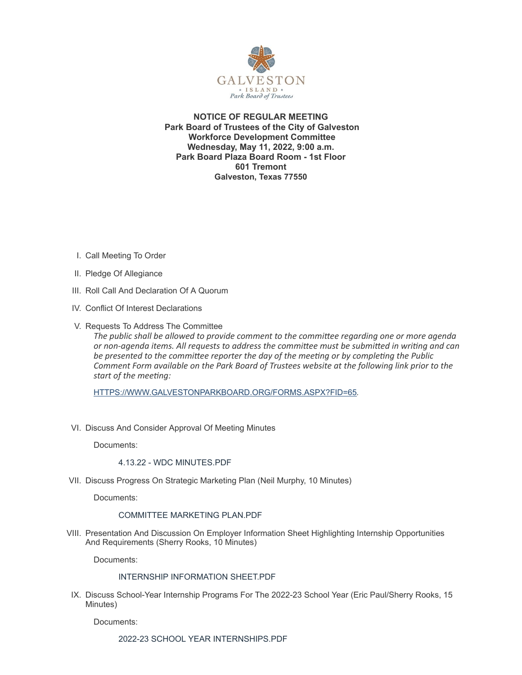

**NOTICE OF REGULAR MEETING Park Board of Trustees of the City of Galveston Workforce Development Committee Wednesday, May 11, 2022, 9:00 a.m. Park Board Plaza Board Room - 1st Floor 601 Tremont Galveston, Texas 77550**

- I. Call Meeting To Order
- II. Pledge Of Allegiance
- III. Roll Call And Declaration Of A Quorum
- IV. Conflict Of Interest Declarations
- V. Requests To Address The Committee

*The public shall be allowed to provide comment to the committee regarding one or more agenda or non-agenda items. All requests to address the committee must be submitted in writing and can be presented to the committee reporter the day of the meeting or by completing the Public Comment Form available on the Park Board of Trustees website at the following link prior to the start of the meeting:*

[HTTPS://WWW.GALVESTONPARKBOARD.ORG/FORMS.ASPX?FID=65](https://www.galvestonparkboard.org/forms.aspx?FID=65)*.*

VI. Discuss And Consider Approval Of Meeting Minutes

Documents:

## 4.13.22 - WDC [MINUTES.PDF](https://www.galvestonparkboard.org/AgendaCenter/ViewFile/Item/7679?fileID=11667)

VII. Discuss Progress On Strategic Marketing Plan (Neil Murphy, 10 Minutes)

Documents:

### [COMMITTEE](https://www.galvestonparkboard.org/AgendaCenter/ViewFile/Item/7616?fileID=11658) MARKETING PLAN.PDF

VIII. Presentation And Discussion On Employer Information Sheet Highlighting Internship Opportunities And Requirements (Sherry Rooks, 10 Minutes)

Documents:

# INTERNSHIP [INFORMATION](https://www.galvestonparkboard.org/AgendaCenter/ViewFile/Item/7683?fileID=11662) SHEET.PDF

IX. Discuss School-Year Internship Programs For The 2022-23 School Year (Eric Paul/Sherry Rooks, 15 Minutes)

Documents:

2022-23 SCHOOL YEAR [INTERNSHIPS.PDF](https://www.galvestonparkboard.org/AgendaCenter/ViewFile/Item/7617?fileID=11657)